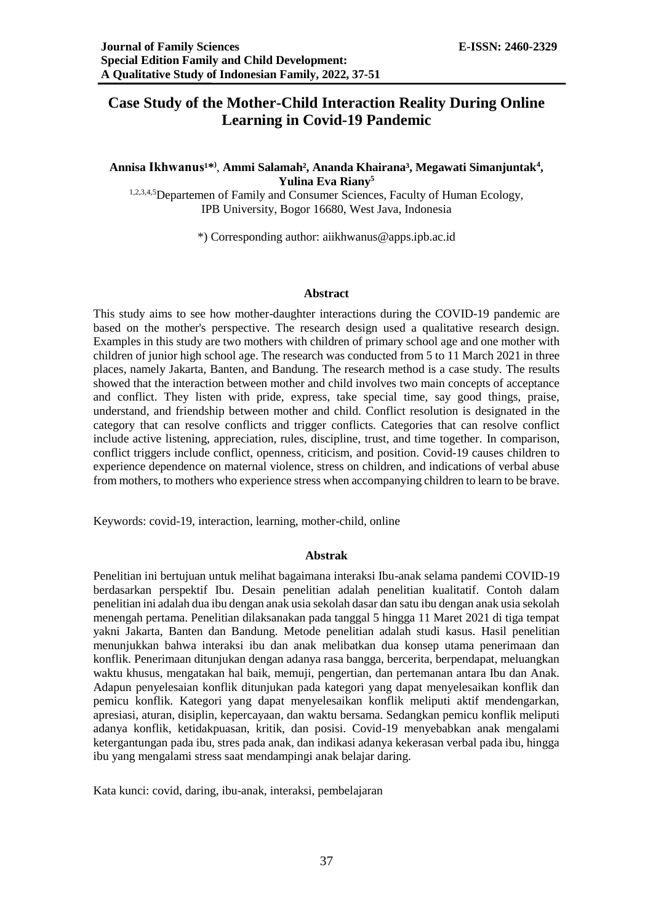# **Case Study of the Mother-Child Interaction Reality During Online Learning in Covid-19 Pandemic**

# Annisa Ikhwanus<sup>1\*)</sup>, Ammi Salamah<sup>2</sup>, Ananda Khairana<sup>3</sup>, Megawati Simanjuntak<sup>4</sup>, **Yulina Eva Riany<sup>5</sup>**

<sup>1,2,3,4,5</sup>Departemen of Family and Consumer Sciences, Faculty of Human Ecology, IPB University, Bogor 16680, West Java, Indonesia

\*) Corresponding author: [aiikhwanus@apps.ipb.ac.id](mailto:aiikhwanus@apps.ipb.ac.id)

# **Abstract**

This study aims to see how mother-daughter interactions during the COVID-19 pandemic are based on the mother's perspective. The research design used a qualitative research design. Examples in this study are two mothers with children of primary school age and one mother with children of junior high school age. The research was conducted from 5 to 11 March 2021 in three places, namely Jakarta, Banten, and Bandung. The research method is a case study. The results showed that the interaction between mother and child involves two main concepts of acceptance and conflict. They listen with pride, express, take special time, say good things, praise, understand, and friendship between mother and child. Conflict resolution is designated in the category that can resolve conflicts and trigger conflicts. Categories that can resolve conflict include active listening, appreciation, rules, discipline, trust, and time together. In comparison, conflict triggers include conflict, openness, criticism, and position. Covid-19 causes children to experience dependence on maternal violence, stress on children, and indications of verbal abuse from mothers, to mothers who experience stress when accompanying children to learn to be brave.

Keywords: covid-19, interaction, learning, mother-child, online

## **Abstrak**

Penelitian ini bertujuan untuk melihat bagaimana interaksi Ibu-anak selama pandemi COVID-19 berdasarkan perspektif Ibu. Desain penelitian adalah penelitian kualitatif. Contoh dalam penelitian ini adalah dua ibu dengan anak usia sekolah dasar dan satu ibu dengan anak usia sekolah menengah pertama. Penelitian dilaksanakan pada tanggal 5 hingga 11 Maret 2021 di tiga tempat yakni Jakarta, Banten dan Bandung. Metode penelitian adalah studi kasus. Hasil penelitian menunjukkan bahwa interaksi ibu dan anak melibatkan dua konsep utama penerimaan dan konflik. Penerimaan ditunjukan dengan adanya rasa bangga, bercerita, berpendapat, meluangkan waktu khusus, mengatakan hal baik, memuji, pengertian, dan pertemanan antara Ibu dan Anak. Adapun penyelesaian konflik ditunjukan pada kategori yang dapat menyelesaikan konflik dan pemicu konflik. Kategori yang dapat menyelesaikan konflik meliputi aktif mendengarkan, apresiasi, aturan, disiplin, kepercayaan, dan waktu bersama. Sedangkan pemicu konflik meliputi adanya konflik, ketidakpuasan, kritik, dan posisi. Covid-19 menyebabkan anak mengalami ketergantungan pada ibu, stres pada anak, dan indikasi adanya kekerasan verbal pada ibu, hingga ibu yang mengalami stress saat mendampingi anak belajar daring.

Kata kunci: covid, daring, ibu-anak, interaksi, pembelajaran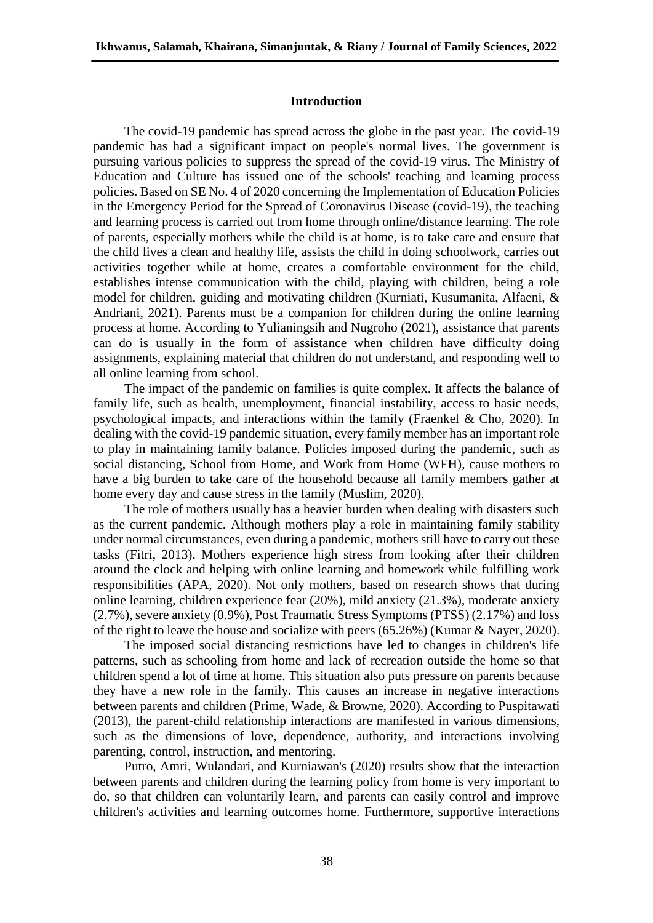# **Introduction**

The covid-19 pandemic has spread across the globe in the past year. The covid-19 pandemic has had a significant impact on people's normal lives. The government is pursuing various policies to suppress the spread of the covid-19 virus. The Ministry of Education and Culture has issued one of the schools' teaching and learning process policies. Based on SE No. 4 of 2020 concerning the Implementation of Education Policies in the Emergency Period for the Spread of Coronavirus Disease (covid-19), the teaching and learning process is carried out from home through online/distance learning. The role of parents, especially mothers while the child is at home, is to take care and ensure that the child lives a clean and healthy life, assists the child in doing schoolwork, carries out activities together while at home, creates a comfortable environment for the child, establishes intense communication with the child, playing with children, being a role model for children, guiding and motivating children (Kurniati, Kusumanita, Alfaeni, & Andriani, 2021). Parents must be a companion for children during the online learning process at home. According to Yulianingsih and Nugroho (2021), assistance that parents can do is usually in the form of assistance when children have difficulty doing assignments, explaining material that children do not understand, and responding well to all online learning from school.

The impact of the pandemic on families is quite complex. It affects the balance of family life, such as health, unemployment, financial instability, access to basic needs, psychological impacts, and interactions within the family (Fraenkel & Cho, 2020). In dealing with the covid-19 pandemic situation, every family member has an important role to play in maintaining family balance. Policies imposed during the pandemic, such as social distancing, School from Home, and Work from Home (WFH), cause mothers to have a big burden to take care of the household because all family members gather at home every day and cause stress in the family (Muslim, 2020).

The role of mothers usually has a heavier burden when dealing with disasters such as the current pandemic. Although mothers play a role in maintaining family stability under normal circumstances, even during a pandemic, mothers still have to carry out these tasks (Fitri, 2013). Mothers experience high stress from looking after their children around the clock and helping with online learning and homework while fulfilling work responsibilities (APA, 2020). Not only mothers, based on research shows that during online learning, children experience fear (20%), mild anxiety (21.3%), moderate anxiety (2.7%), severe anxiety (0.9%), Post Traumatic Stress Symptoms (PTSS) (2.17%) and loss of the right to leave the house and socialize with peers (65.26%) (Kumar & Nayer, 2020).

The imposed social distancing restrictions have led to changes in children's life patterns, such as schooling from home and lack of recreation outside the home so that children spend a lot of time at home. This situation also puts pressure on parents because they have a new role in the family. This causes an increase in negative interactions between parents and children (Prime, Wade, & Browne, 2020). According to Puspitawati (2013), the parent-child relationship interactions are manifested in various dimensions, such as the dimensions of love, dependence, authority, and interactions involving parenting, control, instruction, and mentoring.

Putro, Amri, Wulandari, and Kurniawan's (2020) results show that the interaction between parents and children during the learning policy from home is very important to do, so that children can voluntarily learn, and parents can easily control and improve children's activities and learning outcomes home. Furthermore, supportive interactions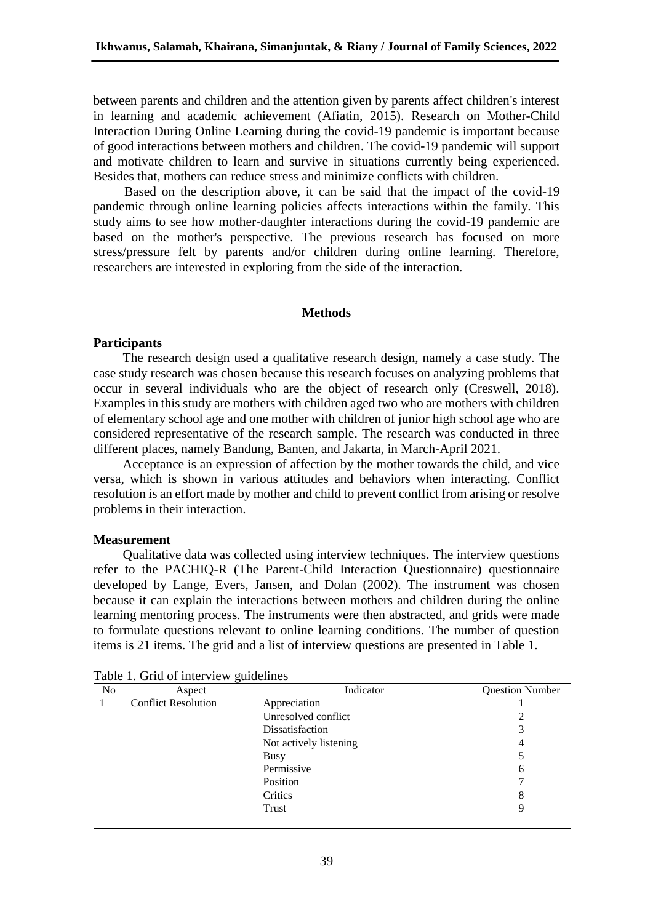between parents and children and the attention given by parents affect children's interest in learning and academic achievement (Afiatin, 2015). Research on Mother-Child Interaction During Online Learning during the covid-19 pandemic is important because of good interactions between mothers and children. The covid-19 pandemic will support and motivate children to learn and survive in situations currently being experienced. Besides that, mothers can reduce stress and minimize conflicts with children.

Based on the description above, it can be said that the impact of the covid-19 pandemic through online learning policies affects interactions within the family. This study aims to see how mother-daughter interactions during the covid-19 pandemic are based on the mother's perspective. The previous research has focused on more stress/pressure felt by parents and/or children during online learning. Therefore, researchers are interested in exploring from the side of the interaction.

### **Methods**

### **Participants**

The research design used a qualitative research design, namely a case study. The case study research was chosen because this research focuses on analyzing problems that occur in several individuals who are the object of research only (Creswell, 2018). Examples in this study are mothers with children aged two who are mothers with children of elementary school age and one mother with children of junior high school age who are considered representative of the research sample. The research was conducted in three different places, namely Bandung, Banten, and Jakarta, in March-April 2021.

Acceptance is an expression of affection by the mother towards the child, and vice versa, which is shown in various attitudes and behaviors when interacting. Conflict resolution is an effort made by mother and child to prevent conflict from arising or resolve problems in their interaction.

### **Measurement**

Qualitative data was collected using interview techniques. The interview questions refer to the PACHIQ-R (The Parent-Child Interaction Questionnaire) questionnaire developed by Lange, Evers, Jansen, and Dolan (2002). The instrument was chosen because it can explain the interactions between mothers and children during the online learning mentoring process. The instruments were then abstracted, and grids were made to formulate questions relevant to online learning conditions. The number of question items is 21 items. The grid and a list of interview questions are presented in Table 1.

| No | Aspect                     | Indicator              | <b>Question Number</b> |
|----|----------------------------|------------------------|------------------------|
|    | <b>Conflict Resolution</b> | Appreciation           |                        |
|    |                            | Unresolved conflict    | 2                      |
|    |                            | Dissatisfaction        | 3                      |
|    |                            | Not actively listening | 4                      |
|    |                            | Busy                   |                        |
|    |                            | Permissive             | 6                      |
|    |                            | Position               |                        |
|    |                            | Critics                | 8                      |
|    |                            | Trust                  | 9                      |

| Table 1. Grid of interview guidelines |  |
|---------------------------------------|--|
|---------------------------------------|--|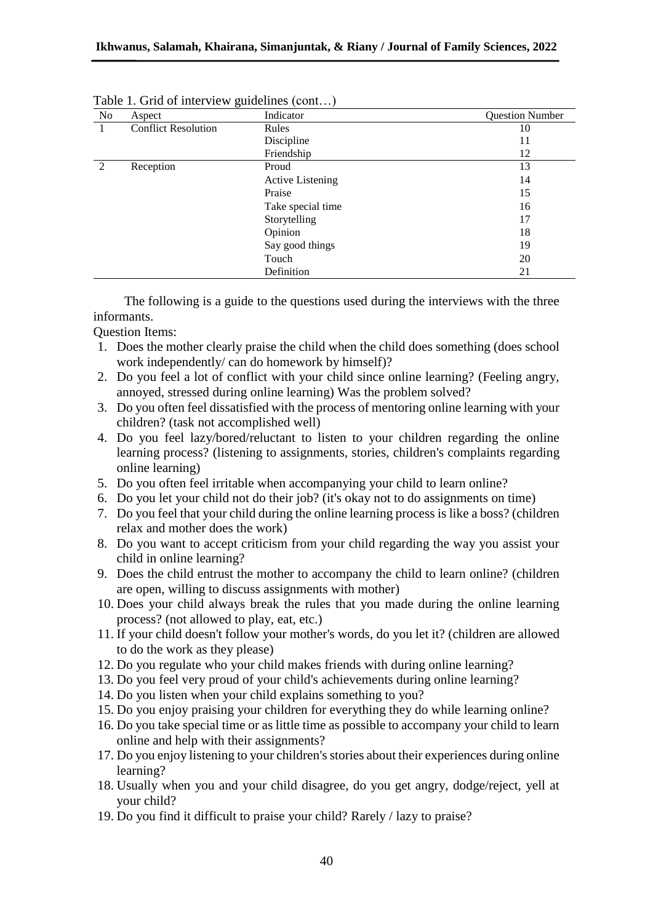| No            | Aspect                     | Indicator               | <b>Question Number</b> |
|---------------|----------------------------|-------------------------|------------------------|
|               | <b>Conflict Resolution</b> | Rules                   | 10                     |
|               |                            | Discipline              | 11                     |
|               |                            | Friendship              | 12                     |
| $\mathcal{D}$ | Reception                  | Proud                   | 13                     |
|               |                            | <b>Active Listening</b> | 14                     |
|               |                            | Praise                  | 15                     |
|               |                            | Take special time       | 16                     |
|               |                            | Storytelling            | 17                     |
|               |                            | Opinion                 | 18                     |
|               |                            | Say good things         | 19                     |
|               |                            | Touch                   | 20                     |
|               |                            | Definition              | 21                     |

|  | Table 1. Grid of interview guidelines (cont) |  |  |
|--|----------------------------------------------|--|--|
|--|----------------------------------------------|--|--|

The following is a guide to the questions used during the interviews with the three informants.

Question Items:

- 1. Does the mother clearly praise the child when the child does something (does school work independently/ can do homework by himself)?
- 2. Do you feel a lot of conflict with your child since online learning? (Feeling angry, annoyed, stressed during online learning) Was the problem solved?
- 3. Do you often feel dissatisfied with the process of mentoring online learning with your children? (task not accomplished well)
- 4. Do you feel lazy/bored/reluctant to listen to your children regarding the online learning process? (listening to assignments, stories, children's complaints regarding online learning)
- 5. Do you often feel irritable when accompanying your child to learn online?
- 6. Do you let your child not do their job? (it's okay not to do assignments on time)
- 7. Do you feel that your child during the online learning process is like a boss? (children relax and mother does the work)
- 8. Do you want to accept criticism from your child regarding the way you assist your child in online learning?
- 9. Does the child entrust the mother to accompany the child to learn online? (children are open, willing to discuss assignments with mother)
- 10. Does your child always break the rules that you made during the online learning process? (not allowed to play, eat, etc.)
- 11. If your child doesn't follow your mother's words, do you let it? (children are allowed to do the work as they please)
- 12. Do you regulate who your child makes friends with during online learning?
- 13. Do you feel very proud of your child's achievements during online learning?
- 14. Do you listen when your child explains something to you?
- 15. Do you enjoy praising your children for everything they do while learning online?
- 16. Do you take special time or as little time as possible to accompany your child to learn online and help with their assignments?
- 17. Do you enjoy listening to your children's stories about their experiences during online learning?
- 18. Usually when you and your child disagree, do you get angry, dodge/reject, yell at your child?
- 19. Do you find it difficult to praise your child? Rarely / lazy to praise?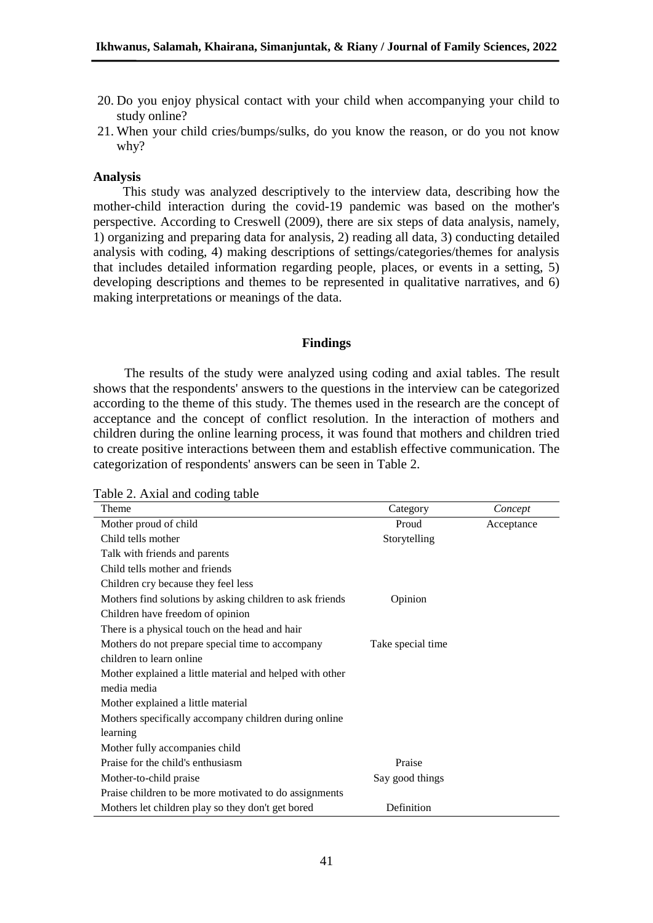- 20. Do you enjoy physical contact with your child when accompanying your child to study online?
- 21. When your child cries/bumps/sulks, do you know the reason, or do you not know why?

### **Analysis**

This study was analyzed descriptively to the interview data, describing how the mother-child interaction during the covid-19 pandemic was based on the mother's perspective. According to Creswell (2009), there are six steps of data analysis, namely, 1) organizing and preparing data for analysis, 2) reading all data, 3) conducting detailed analysis with coding, 4) making descriptions of settings/categories/themes for analysis that includes detailed information regarding people, places, or events in a setting, 5) developing descriptions and themes to be represented in qualitative narratives, and 6) making interpretations or meanings of the data.

### **Findings**

The results of the study were analyzed using coding and axial tables. The result shows that the respondents' answers to the questions in the interview can be categorized according to the theme of this study. The themes used in the research are the concept of acceptance and the concept of conflict resolution. In the interaction of mothers and children during the online learning process, it was found that mothers and children tried to create positive interactions between them and establish effective communication. The categorization of respondents' answers can be seen in Table 2.

| Table 2. Axial and coding table |  |  |
|---------------------------------|--|--|

| Theme                                                    | Category          | Concept    |
|----------------------------------------------------------|-------------------|------------|
| Mother proud of child                                    | Proud             | Acceptance |
| Child tells mother                                       | Storytelling      |            |
| Talk with friends and parents                            |                   |            |
| Child tells mother and friends                           |                   |            |
| Children cry because they feel less                      |                   |            |
| Mothers find solutions by asking children to ask friends | Opinion           |            |
| Children have freedom of opinion                         |                   |            |
| There is a physical touch on the head and hair           |                   |            |
| Mothers do not prepare special time to accompany         | Take special time |            |
| children to learn online                                 |                   |            |
| Mother explained a little material and helped with other |                   |            |
| media media                                              |                   |            |
| Mother explained a little material                       |                   |            |
| Mothers specifically accompany children during online    |                   |            |
| learning                                                 |                   |            |
| Mother fully accompanies child                           |                   |            |
| Praise for the child's enthusiasm                        | Praise            |            |
| Mother-to-child praise                                   | Say good things   |            |
| Praise children to be more motivated to do assignments   |                   |            |
| Mothers let children play so they don't get bored        | Definition        |            |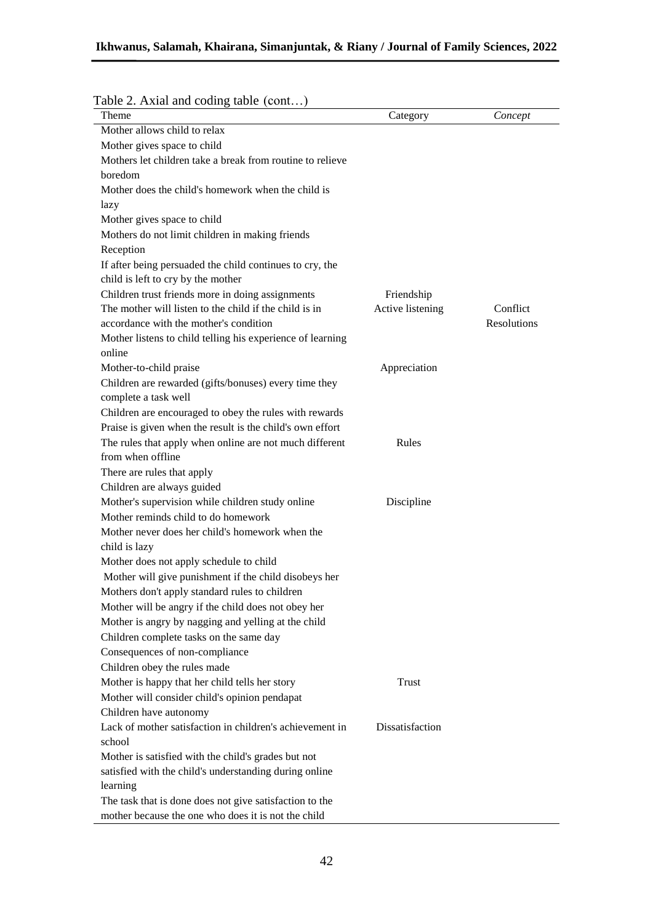| Category         | Concept     |
|------------------|-------------|
|                  |             |
|                  |             |
|                  |             |
|                  |             |
|                  |             |
|                  |             |
|                  |             |
|                  |             |
|                  |             |
|                  |             |
|                  |             |
| Friendship       |             |
| Active listening | Conflict    |
|                  | Resolutions |
|                  |             |
|                  |             |
| Appreciation     |             |
|                  |             |
|                  |             |
|                  |             |
|                  |             |
| Rules            |             |
|                  |             |
|                  |             |
|                  |             |
| Discipline       |             |
|                  |             |
|                  |             |
|                  |             |
|                  |             |
|                  |             |
|                  |             |
|                  |             |
|                  |             |
|                  |             |
|                  |             |
|                  |             |
| <b>Trust</b>     |             |
|                  |             |
|                  |             |
| Dissatisfaction  |             |
|                  |             |
|                  |             |
|                  |             |
|                  |             |
|                  |             |
|                  |             |
|                  |             |

# Table 2. Axial and coding table (cont...)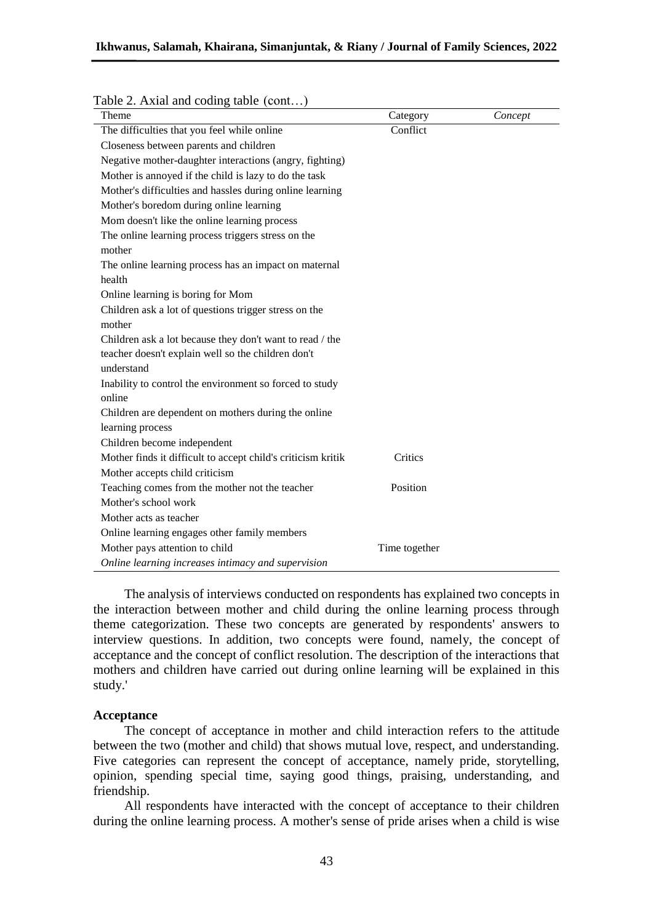| Theme                                                        | Category      | Concept |
|--------------------------------------------------------------|---------------|---------|
| The difficulties that you feel while online                  | Conflict      |         |
| Closeness between parents and children                       |               |         |
| Negative mother-daughter interactions (angry, fighting)      |               |         |
| Mother is annoyed if the child is lazy to do the task        |               |         |
| Mother's difficulties and hassles during online learning     |               |         |
| Mother's boredom during online learning                      |               |         |
| Mom doesn't like the online learning process                 |               |         |
| The online learning process triggers stress on the           |               |         |
| mother                                                       |               |         |
| The online learning process has an impact on maternal        |               |         |
| health                                                       |               |         |
| Online learning is boring for Mom                            |               |         |
| Children ask a lot of questions trigger stress on the        |               |         |
| mother                                                       |               |         |
| Children ask a lot because they don't want to read / the     |               |         |
| teacher doesn't explain well so the children don't           |               |         |
| understand                                                   |               |         |
| Inability to control the environment so forced to study      |               |         |
| online                                                       |               |         |
| Children are dependent on mothers during the online          |               |         |
| learning process                                             |               |         |
| Children become independent                                  |               |         |
| Mother finds it difficult to accept child's criticism kritik | Critics       |         |
| Mother accepts child criticism                               |               |         |
| Teaching comes from the mother not the teacher               | Position      |         |
| Mother's school work                                         |               |         |
| Mother acts as teacher                                       |               |         |
| Online learning engages other family members                 |               |         |
| Mother pays attention to child                               | Time together |         |
| Online learning increases intimacy and supervision           |               |         |

### Table 2. Axial and coding table (cont...)

The analysis of interviews conducted on respondents has explained two concepts in the interaction between mother and child during the online learning process through theme categorization. These two concepts are generated by respondents' answers to interview questions. In addition, two concepts were found, namely, the concept of acceptance and the concept of conflict resolution. The description of the interactions that mothers and children have carried out during online learning will be explained in this study.'

### **Acceptance**

The concept of acceptance in mother and child interaction refers to the attitude between the two (mother and child) that shows mutual love, respect, and understanding. Five categories can represent the concept of acceptance, namely pride, storytelling, opinion, spending special time, saying good things, praising, understanding, and friendship.

All respondents have interacted with the concept of acceptance to their children during the online learning process. A mother's sense of pride arises when a child is wise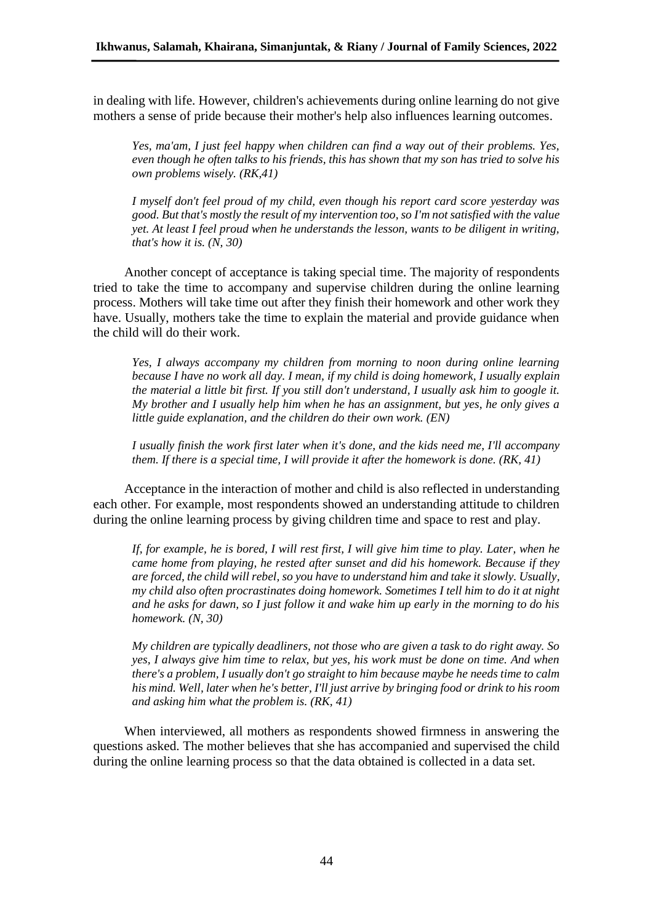in dealing with life. However, children's achievements during online learning do not give mothers a sense of pride because their mother's help also influences learning outcomes.

*Yes, ma'am, I just feel happy when children can find a way out of their problems. Yes, even though he often talks to his friends, this has shown that my son has tried to solve his own problems wisely. (RK,41)*

*I myself don't feel proud of my child, even though his report card score yesterday was good. But that's mostly the result of my intervention too, so I'm not satisfied with the value yet. At least I feel proud when he understands the lesson, wants to be diligent in writing, that's how it is. (N, 30)*

Another concept of acceptance is taking special time. The majority of respondents tried to take the time to accompany and supervise children during the online learning process. Mothers will take time out after they finish their homework and other work they have. Usually, mothers take the time to explain the material and provide guidance when the child will do their work.

*Yes, I always accompany my children from morning to noon during online learning because I have no work all day. I mean, if my child is doing homework, I usually explain the material a little bit first. If you still don't understand, I usually ask him to google it. My brother and I usually help him when he has an assignment, but yes, he only gives a little guide explanation, and the children do their own work. (EN)*

*I usually finish the work first later when it's done, and the kids need me, I'll accompany them. If there is a special time, I will provide it after the homework is done. (RK, 41)*

Acceptance in the interaction of mother and child is also reflected in understanding each other. For example, most respondents showed an understanding attitude to children during the online learning process by giving children time and space to rest and play.

*If, for example, he is bored, I will rest first, I will give him time to play. Later, when he came home from playing, he rested after sunset and did his homework. Because if they are forced, the child will rebel, so you have to understand him and take it slowly. Usually, my child also often procrastinates doing homework. Sometimes I tell him to do it at night and he asks for dawn, so I just follow it and wake him up early in the morning to do his homework. (N, 30)*

*My children are typically deadliners, not those who are given a task to do right away. So yes, I always give him time to relax, but yes, his work must be done on time. And when there's a problem, I usually don't go straight to him because maybe he needs time to calm his mind. Well, later when he's better, I'll just arrive by bringing food or drink to his room and asking him what the problem is. (RK, 41)*

When interviewed, all mothers as respondents showed firmness in answering the questions asked. The mother believes that she has accompanied and supervised the child during the online learning process so that the data obtained is collected in a data set.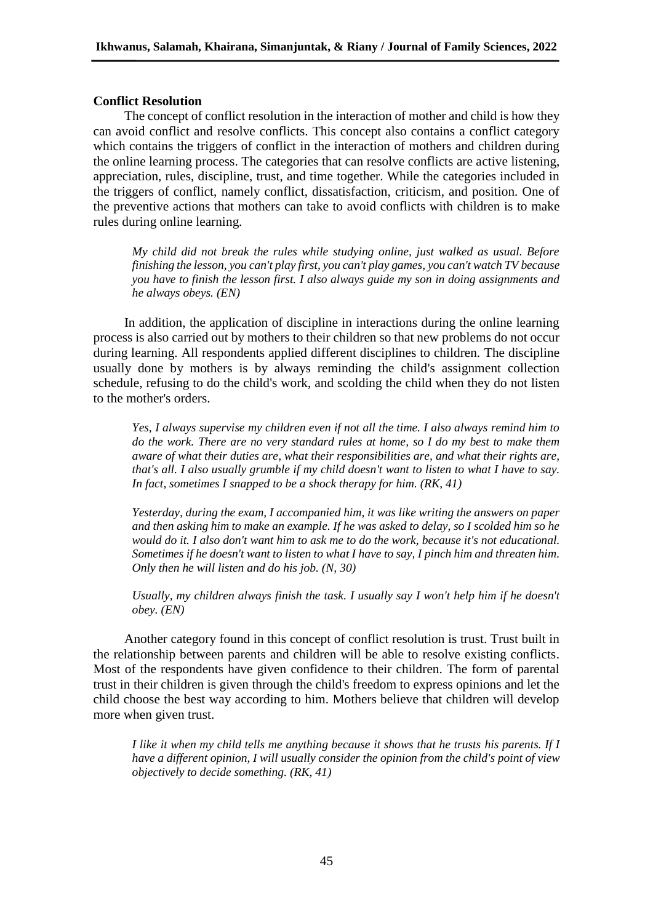# **Conflict Resolution**

The concept of conflict resolution in the interaction of mother and child is how they can avoid conflict and resolve conflicts. This concept also contains a conflict category which contains the triggers of conflict in the interaction of mothers and children during the online learning process. The categories that can resolve conflicts are active listening, appreciation, rules, discipline, trust, and time together. While the categories included in the triggers of conflict, namely conflict, dissatisfaction, criticism, and position. One of the preventive actions that mothers can take to avoid conflicts with children is to make rules during online learning.

*My child did not break the rules while studying online, just walked as usual. Before finishing the lesson, you can't play first, you can't play games, you can't watch TV because you have to finish the lesson first. I also always guide my son in doing assignments and he always obeys. (EN)*

In addition, the application of discipline in interactions during the online learning process is also carried out by mothers to their children so that new problems do not occur during learning. All respondents applied different disciplines to children. The discipline usually done by mothers is by always reminding the child's assignment collection schedule, refusing to do the child's work, and scolding the child when they do not listen to the mother's orders.

*Yes, I always supervise my children even if not all the time. I also always remind him to do the work. There are no very standard rules at home, so I do my best to make them aware of what their duties are, what their responsibilities are, and what their rights are, that's all. I also usually grumble if my child doesn't want to listen to what I have to say. In fact, sometimes I snapped to be a shock therapy for him. (RK, 41)*

*Yesterday, during the exam, I accompanied him, it was like writing the answers on paper and then asking him to make an example. If he was asked to delay, so I scolded him so he would do it. I also don't want him to ask me to do the work, because it's not educational. Sometimes if he doesn't want to listen to what I have to say, I pinch him and threaten him. Only then he will listen and do his job. (N, 30)*

*Usually, my children always finish the task. I usually say I won't help him if he doesn't obey. (EN)*

Another category found in this concept of conflict resolution is trust. Trust built in the relationship between parents and children will be able to resolve existing conflicts. Most of the respondents have given confidence to their children. The form of parental trust in their children is given through the child's freedom to express opinions and let the child choose the best way according to him. Mothers believe that children will develop more when given trust.

*I like it when my child tells me anything because it shows that he trusts his parents. If I have a different opinion, I will usually consider the opinion from the child's point of view objectively to decide something. (RK, 41)*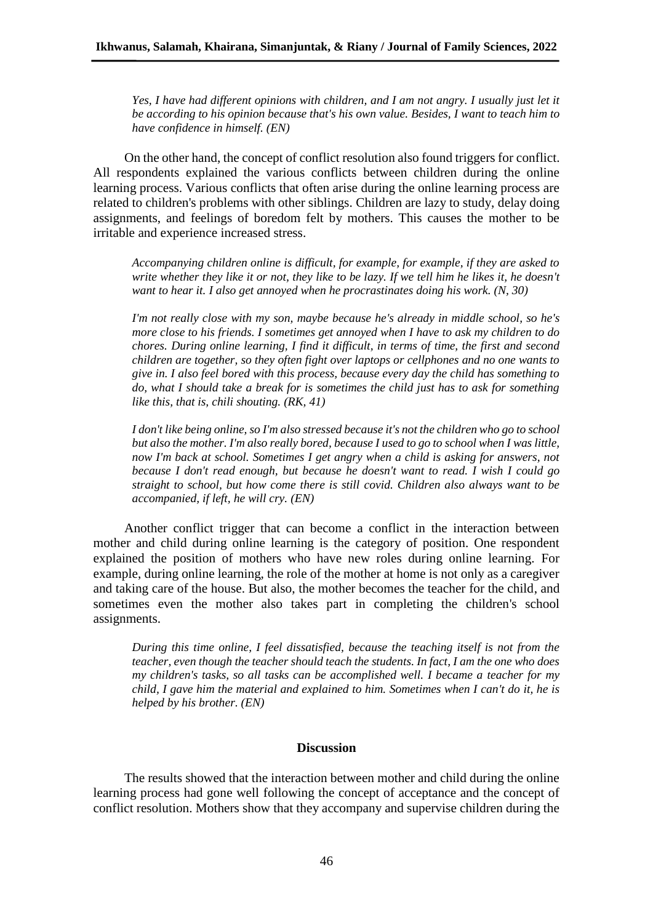*Yes, I have had different opinions with children, and I am not angry. I usually just let it be according to his opinion because that's his own value. Besides, I want to teach him to have confidence in himself. (EN)*

On the other hand, the concept of conflict resolution also found triggers for conflict. All respondents explained the various conflicts between children during the online learning process. Various conflicts that often arise during the online learning process are related to children's problems with other siblings. Children are lazy to study, delay doing assignments, and feelings of boredom felt by mothers. This causes the mother to be irritable and experience increased stress.

*Accompanying children online is difficult, for example, for example, if they are asked to write whether they like it or not, they like to be lazy. If we tell him he likes it, he doesn't want to hear it. I also get annoyed when he procrastinates doing his work. (N, 30)*

*I'm not really close with my son, maybe because he's already in middle school, so he's more close to his friends. I sometimes get annoyed when I have to ask my children to do chores. During online learning, I find it difficult, in terms of time, the first and second children are together, so they often fight over laptops or cellphones and no one wants to give in. I also feel bored with this process, because every day the child has something to do, what I should take a break for is sometimes the child just has to ask for something like this, that is, chili shouting. (RK, 41)*

*I don't like being online, so I'm also stressed because it's not the children who go to school but also the mother. I'm also really bored, because I used to go to school when I was little, now I'm back at school. Sometimes I get angry when a child is asking for answers, not because I don't read enough, but because he doesn't want to read. I wish I could go straight to school, but how come there is still covid. Children also always want to be accompanied, if left, he will cry. (EN)*

Another conflict trigger that can become a conflict in the interaction between mother and child during online learning is the category of position. One respondent explained the position of mothers who have new roles during online learning. For example, during online learning, the role of the mother at home is not only as a caregiver and taking care of the house. But also, the mother becomes the teacher for the child, and sometimes even the mother also takes part in completing the children's school assignments.

*During this time online, I feel dissatisfied, because the teaching itself is not from the teacher, even though the teacher should teach the students. In fact, I am the one who does my children's tasks, so all tasks can be accomplished well. I became a teacher for my child, I gave him the material and explained to him. Sometimes when I can't do it, he is helped by his brother. (EN)*

# **Discussion**

The results showed that the interaction between mother and child during the online learning process had gone well following the concept of acceptance and the concept of conflict resolution. Mothers show that they accompany and supervise children during the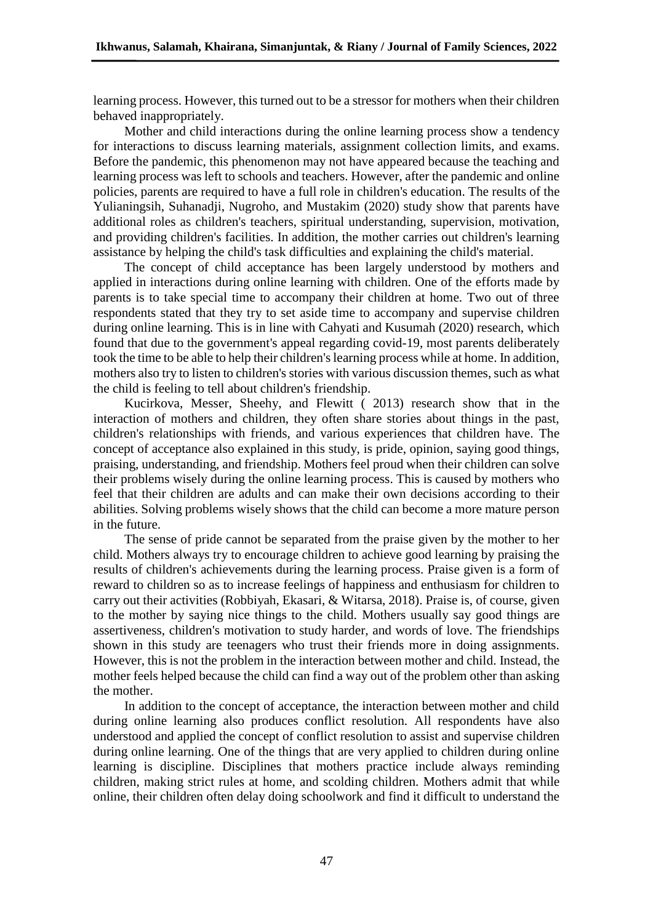learning process. However, this turned out to be a stressor for mothers when their children behaved inappropriately.

Mother and child interactions during the online learning process show a tendency for interactions to discuss learning materials, assignment collection limits, and exams. Before the pandemic, this phenomenon may not have appeared because the teaching and learning process was left to schools and teachers. However, after the pandemic and online policies, parents are required to have a full role in children's education. The results of the Yulianingsih, Suhanadji, Nugroho, and Mustakim (2020) study show that parents have additional roles as children's teachers, spiritual understanding, supervision, motivation, and providing children's facilities. In addition, the mother carries out children's learning assistance by helping the child's task difficulties and explaining the child's material.

The concept of child acceptance has been largely understood by mothers and applied in interactions during online learning with children. One of the efforts made by parents is to take special time to accompany their children at home. Two out of three respondents stated that they try to set aside time to accompany and supervise children during online learning. This is in line with Cahyati and Kusumah (2020) research, which found that due to the government's appeal regarding covid-19, most parents deliberately took the time to be able to help their children's learning process while at home. In addition, mothers also try to listen to children's stories with various discussion themes, such as what the child is feeling to tell about children's friendship.

Kucirkova, Messer, Sheehy, and Flewitt ( 2013) research show that in the interaction of mothers and children, they often share stories about things in the past, children's relationships with friends, and various experiences that children have. The concept of acceptance also explained in this study, is pride, opinion, saying good things, praising, understanding, and friendship. Mothers feel proud when their children can solve their problems wisely during the online learning process. This is caused by mothers who feel that their children are adults and can make their own decisions according to their abilities. Solving problems wisely shows that the child can become a more mature person in the future.

The sense of pride cannot be separated from the praise given by the mother to her child. Mothers always try to encourage children to achieve good learning by praising the results of children's achievements during the learning process. Praise given is a form of reward to children so as to increase feelings of happiness and enthusiasm for children to carry out their activities (Robbiyah, Ekasari, & Witarsa, 2018). Praise is, of course, given to the mother by saying nice things to the child. Mothers usually say good things are assertiveness, children's motivation to study harder, and words of love. The friendships shown in this study are teenagers who trust their friends more in doing assignments. However, this is not the problem in the interaction between mother and child. Instead, the mother feels helped because the child can find a way out of the problem other than asking the mother.

In addition to the concept of acceptance, the interaction between mother and child during online learning also produces conflict resolution. All respondents have also understood and applied the concept of conflict resolution to assist and supervise children during online learning. One of the things that are very applied to children during online learning is discipline. Disciplines that mothers practice include always reminding children, making strict rules at home, and scolding children. Mothers admit that while online, their children often delay doing schoolwork and find it difficult to understand the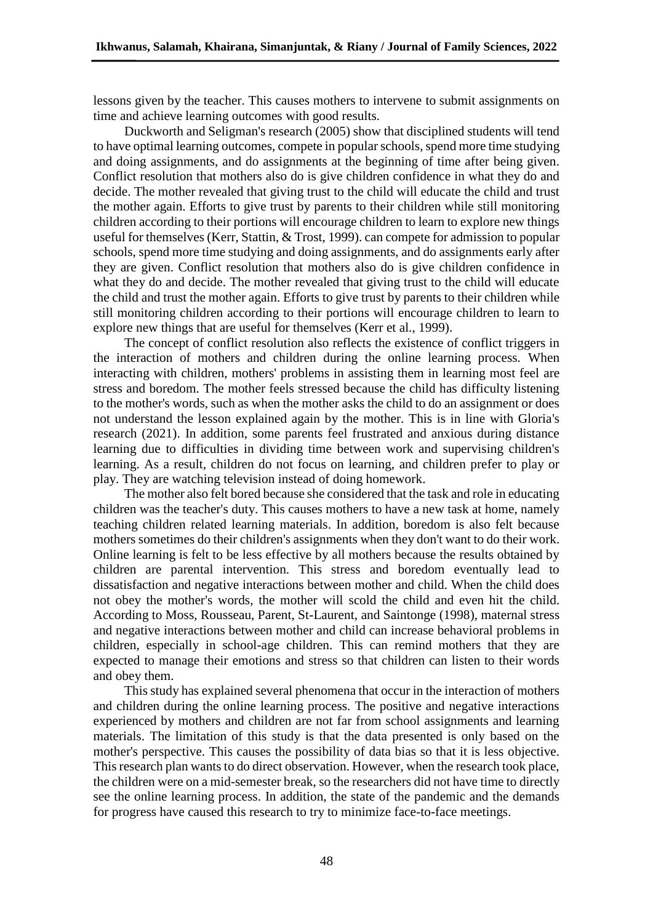lessons given by the teacher. This causes mothers to intervene to submit assignments on time and achieve learning outcomes with good results.

Duckworth and Seligman's research (2005) show that disciplined students will tend to have optimal learning outcomes, compete in popular schools, spend more time studying and doing assignments, and do assignments at the beginning of time after being given. Conflict resolution that mothers also do is give children confidence in what they do and decide. The mother revealed that giving trust to the child will educate the child and trust the mother again. Efforts to give trust by parents to their children while still monitoring children according to their portions will encourage children to learn to explore new things useful for themselves (Kerr, Stattin, & Trost, 1999). can compete for admission to popular schools, spend more time studying and doing assignments, and do assignments early after they are given. Conflict resolution that mothers also do is give children confidence in what they do and decide. The mother revealed that giving trust to the child will educate the child and trust the mother again. Efforts to give trust by parents to their children while still monitoring children according to their portions will encourage children to learn to explore new things that are useful for themselves (Kerr et al., 1999).

The concept of conflict resolution also reflects the existence of conflict triggers in the interaction of mothers and children during the online learning process. When interacting with children, mothers' problems in assisting them in learning most feel are stress and boredom. The mother feels stressed because the child has difficulty listening to the mother's words, such as when the mother asks the child to do an assignment or does not understand the lesson explained again by the mother. This is in line with Gloria's research (2021). In addition, some parents feel frustrated and anxious during distance learning due to difficulties in dividing time between work and supervising children's learning. As a result, children do not focus on learning, and children prefer to play or play. They are watching television instead of doing homework.

The mother also felt bored because she considered that the task and role in educating children was the teacher's duty. This causes mothers to have a new task at home, namely teaching children related learning materials. In addition, boredom is also felt because mothers sometimes do their children's assignments when they don't want to do their work. Online learning is felt to be less effective by all mothers because the results obtained by children are parental intervention. This stress and boredom eventually lead to dissatisfaction and negative interactions between mother and child. When the child does not obey the mother's words, the mother will scold the child and even hit the child. According to Moss, Rousseau, Parent, St-Laurent, and Saintonge (1998), maternal stress and negative interactions between mother and child can increase behavioral problems in children, especially in school-age children. This can remind mothers that they are expected to manage their emotions and stress so that children can listen to their words and obey them.

This study has explained several phenomena that occur in the interaction of mothers and children during the online learning process. The positive and negative interactions experienced by mothers and children are not far from school assignments and learning materials. The limitation of this study is that the data presented is only based on the mother's perspective. This causes the possibility of data bias so that it is less objective. This research plan wants to do direct observation. However, when the research took place, the children were on a mid-semester break, so the researchers did not have time to directly see the online learning process. In addition, the state of the pandemic and the demands for progress have caused this research to try to minimize face-to-face meetings.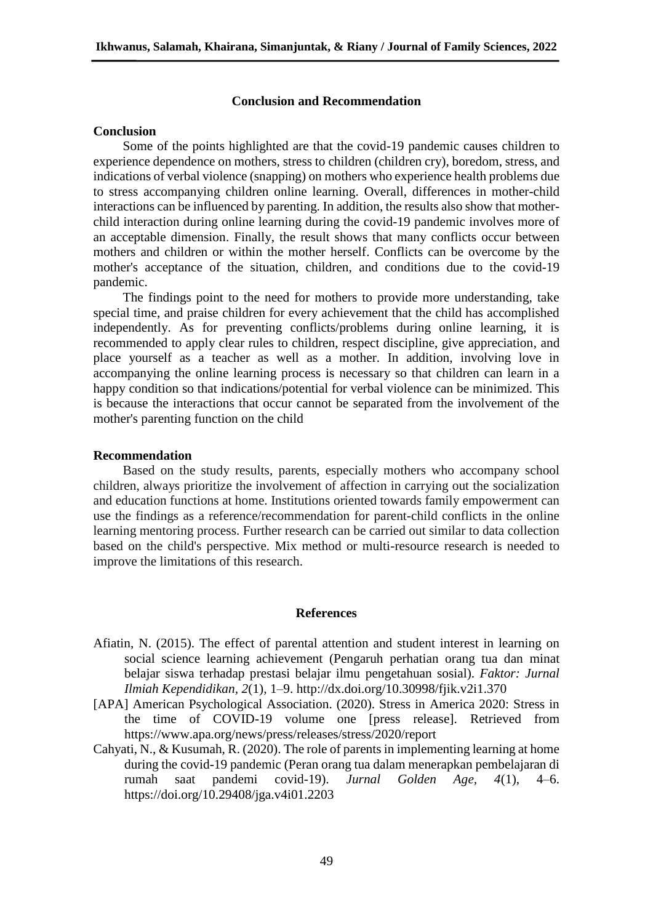### **Conclusion and Recommendation**

### **Conclusion**

Some of the points highlighted are that the covid-19 pandemic causes children to experience dependence on mothers, stress to children (children cry), boredom, stress, and indications of verbal violence (snapping) on mothers who experience health problems due to stress accompanying children online learning. Overall, differences in mother-child interactions can be influenced by parenting. In addition, the results also show that motherchild interaction during online learning during the covid-19 pandemic involves more of an acceptable dimension. Finally, the result shows that many conflicts occur between mothers and children or within the mother herself. Conflicts can be overcome by the mother's acceptance of the situation, children, and conditions due to the covid-19 pandemic.

The findings point to the need for mothers to provide more understanding, take special time, and praise children for every achievement that the child has accomplished independently. As for preventing conflicts/problems during online learning, it is recommended to apply clear rules to children, respect discipline, give appreciation, and place yourself as a teacher as well as a mother. In addition, involving love in accompanying the online learning process is necessary so that children can learn in a happy condition so that indications/potential for verbal violence can be minimized. This is because the interactions that occur cannot be separated from the involvement of the mother's parenting function on the child

### **Recommendation**

Based on the study results, parents, especially mothers who accompany school children, always prioritize the involvement of affection in carrying out the socialization and education functions at home. Institutions oriented towards family empowerment can use the findings as a reference/recommendation for parent-child conflicts in the online learning mentoring process. Further research can be carried out similar to data collection based on the child's perspective. Mix method or multi-resource research is needed to improve the limitations of this research.

#### **References**

- Afiatin, N. (2015). The effect of parental attention and student interest in learning on social science learning achievement (Pengaruh perhatian orang tua dan minat belajar siswa terhadap prestasi belajar ilmu pengetahuan sosial). *Faktor: Jurnal Ilmiah Kependidikan, 2*(1), 1–9. http://dx.doi.org/10.30998/fjik.v2i1.370
- [APA] American Psychological Association. (2020). Stress in America 2020: Stress in the time of COVID-19 volume one [press release]. Retrieved from https://www.apa.org/news/press/releases/stress/2020/report
- Cahyati, N., & Kusumah, R. (2020). The role of parents in implementing learning at home during the covid-19 pandemic (Peran orang tua dalam menerapkan pembelajaran di rumah saat pandemi covid-19). *Jurnal Golden Age, 4*(1), 4–6. https://doi.org/10.29408/jga.v4i01.2203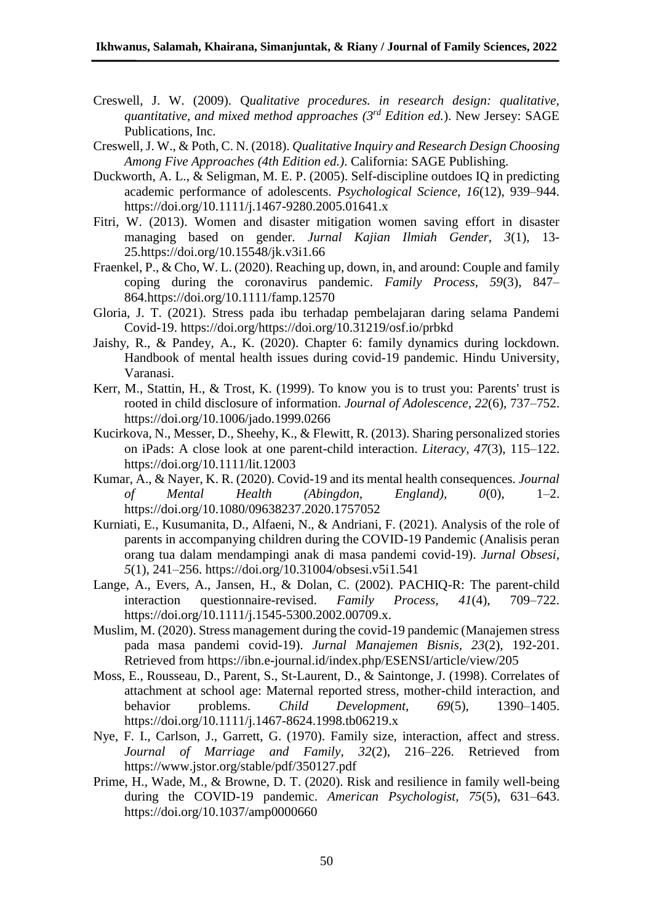- Creswell, J. W. (2009). Q*ualitative procedures. in research design: qualitative, quantitative, and mixed method approaches (3rd Edition ed.*). New Jersey: SAGE Publications, Inc.
- Creswell, J. W., & Poth, C. N. (2018). *Qualitative Inquiry and Research Design Choosing Among Five Approaches (4th Edition ed.)*. California: SAGE Publishing.
- Duckworth, A. L., & Seligman, M. E. P. (2005). Self-discipline outdoes IQ in predicting academic performance of adolescents. *Psychological Science, 16*(12), 939–944. https://doi.org/10.1111/j.1467-9280.2005.01641.x
- Fitri, W. (2013). Women and disaster mitigation women saving effort in disaster managing based on gender. *Jurnal Kajian Ilmiah Gender, 3*(1), 13- 25.https://doi.org/10.15548/jk.v3i1.66
- Fraenkel, P., & Cho, W. L. (2020). Reaching up, down, in, and around: Couple and family coping during the coronavirus pandemic. *Family Process, 59*(3), 847– 864.https://doi.org/10.1111/famp.12570
- Gloria, J. T. (2021). Stress pada ibu terhadap pembelajaran daring selama Pandemi Covid-19. https://doi.org/https://doi.org/10.31219/osf.io/prbkd
- Jaishy, R., & Pandey, A., K. (2020). Chapter 6: family dynamics during lockdown. Handbook of mental health issues during covid-19 pandemic. Hindu University, Varanasi.
- Kerr, M., Stattin, H., & Trost, K. (1999). To know you is to trust you: Parents' trust is rooted in child disclosure of information. *Journal of Adolescence, 22*(6), 737–752. https://doi.org/10.1006/jado.1999.0266
- Kucirkova, N., Messer, D., Sheehy, K., & Flewitt, R. (2013). Sharing personalized stories on iPads: A close look at one parent-child interaction. *Literacy, 47*(3), 115–122. https://doi.org/10.1111/lit.12003
- Kumar, A., & Nayer, K. R. (2020). Covid-19 and its mental health consequences. *Journal of Mental Health (Abingdon, England), 0*(0), 1–2. https://doi.org/10.1080/09638237.2020.1757052
- Kurniati, E., Kusumanita, D., Alfaeni, N., & Andriani, F. (2021). Analysis of the role of parents in accompanying children during the COVID-19 Pandemic (Analisis peran orang tua dalam mendampingi anak di masa pandemi covid-19). *Jurnal Obsesi, 5*(1), 241–256. https://doi.org/10.31004/obsesi.v5i1.541
- Lange, A., Evers, A., Jansen, H., & Dolan, C. (2002). PACHIQ-R: The parent-child interaction questionnaire-revised. *Family Process, 41*(4), 709–722. https://doi.org/10.1111/j.1545-5300.2002.00709.x.
- Muslim, M. (2020). Stress management during the covid-19 pandemic (Manajemen stress pada masa pandemi covid-19). *Jurnal Manajemen Bisnis, 23*(2), 192-201. Retrieved from https://ibn.e-journal.id/index.php/ESENSI/article/view/205
- Moss, E., Rousseau, D., Parent, S., St-Laurent, D., & Saintonge, J. (1998). Correlates of attachment at school age: Maternal reported stress, mother-child interaction, and behavior problems. *Child Development, 69*(5), 1390–1405. https://doi.org/10.1111/j.1467-8624.1998.tb06219.x
- Nye, F. I., Carlson, J., Garrett, G. (1970). Family size, interaction, affect and stress. *Journal of Marriage and Family, 32*(2), 216–226. Retrieved from https://www.jstor.org/stable/pdf/350127.pdf
- Prime, H., Wade, M., & Browne, D. T. (2020). Risk and resilience in family well-being during the COVID-19 pandemic. *American Psychologist, 75*(5), 631–643. https://doi.org/10.1037/amp0000660